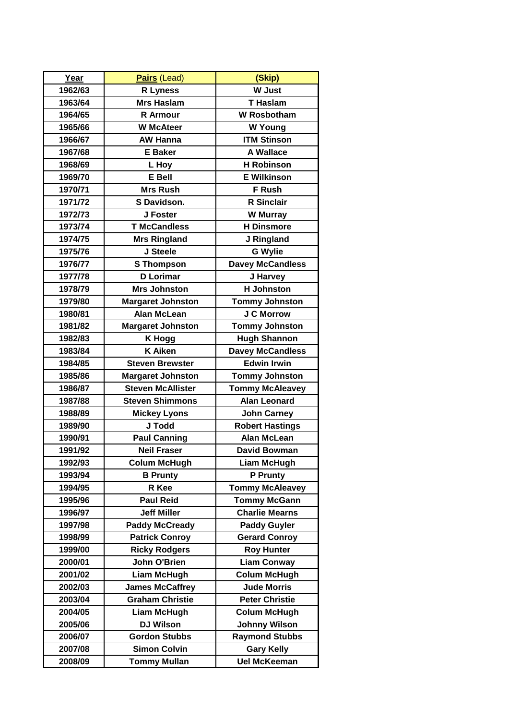| Year    | Pairs (Lead)             | (Skip)                  |
|---------|--------------------------|-------------------------|
| 1962/63 | <b>R</b> Lyness          | <b>W</b> Just           |
| 1963/64 | <b>Mrs Haslam</b>        | <b>T</b> Haslam         |
| 1964/65 | <b>R</b> Armour          | <b>W</b> Rosbotham      |
| 1965/66 | <b>W</b> McAteer         | <b>W</b> Young          |
| 1966/67 | <b>AW Hanna</b>          | <b>ITM Stinson</b>      |
| 1967/68 | <b>E</b> Baker           | <b>A Wallace</b>        |
| 1968/69 | L Hoy                    | <b>H</b> Robinson       |
| 1969/70 | <b>E</b> Bell            | <b>E</b> Wilkinson      |
| 1970/71 | <b>Mrs Rush</b>          | F Rush                  |
| 1971/72 | S Davidson.              | <b>R</b> Sinclair       |
| 1972/73 | J Foster                 | <b>W</b> Murray         |
| 1973/74 | <b>T McCandless</b>      | <b>H</b> Dinsmore       |
| 1974/75 | <b>Mrs Ringland</b>      | J Ringland              |
| 1975/76 | J Steele                 | <b>G Wylie</b>          |
| 1976/77 | <b>S</b> Thompson        | <b>Davey McCandless</b> |
| 1977/78 | <b>D</b> Lorimar         | J Harvey                |
| 1978/79 | <b>Mrs Johnston</b>      | <b>H</b> Johnston       |
| 1979/80 | <b>Margaret Johnston</b> | <b>Tommy Johnston</b>   |
| 1980/81 | <b>Alan McLean</b>       | <b>J C Morrow</b>       |
| 1981/82 | <b>Margaret Johnston</b> | <b>Tommy Johnston</b>   |
| 1982/83 | <b>K Hogg</b>            | <b>Hugh Shannon</b>     |
| 1983/84 | <b>K</b> Aiken           | <b>Davey McCandless</b> |
| 1984/85 | <b>Steven Brewster</b>   | <b>Edwin Irwin</b>      |
| 1985/86 | <b>Margaret Johnston</b> | <b>Tommy Johnston</b>   |
| 1986/87 | <b>Steven McAllister</b> | <b>Tommy McAleavey</b>  |
| 1987/88 | <b>Steven Shimmons</b>   | <b>Alan Leonard</b>     |
| 1988/89 | <b>Mickey Lyons</b>      | <b>John Carney</b>      |
| 1989/90 | J Todd                   | <b>Robert Hastings</b>  |
| 1990/91 | <b>Paul Canning</b>      | <b>Alan McLean</b>      |
| 1991/92 | <b>Neil Fraser</b>       | <b>David Bowman</b>     |
| 1992/93 | <b>Colum McHugh</b>      | <b>Liam McHugh</b>      |
| 1993/94 | <b>B</b> Prunty          | P Prunty                |
| 1994/95 | R Kee                    | <b>Tommy McAleavey</b>  |
| 1995/96 | <b>Paul Reid</b>         | <b>Tommy McGann</b>     |
| 1996/97 | <b>Jeff Miller</b>       | <b>Charlie Mearns</b>   |
| 1997/98 | <b>Paddy McCready</b>    | <b>Paddy Guyler</b>     |
| 1998/99 | <b>Patrick Conroy</b>    | <b>Gerard Conroy</b>    |
| 1999/00 | <b>Ricky Rodgers</b>     | <b>Roy Hunter</b>       |
| 2000/01 | John O'Brien             | <b>Liam Conway</b>      |
| 2001/02 | Liam McHugh              | <b>Colum McHugh</b>     |
| 2002/03 | <b>James McCaffrey</b>   | <b>Jude Morris</b>      |
| 2003/04 | <b>Graham Christie</b>   | <b>Peter Christie</b>   |
| 2004/05 | <b>Liam McHugh</b>       | <b>Colum McHugh</b>     |
| 2005/06 | <b>DJ Wilson</b>         | <b>Johnny Wilson</b>    |
| 2006/07 | <b>Gordon Stubbs</b>     | <b>Raymond Stubbs</b>   |
| 2007/08 | <b>Simon Colvin</b>      | <b>Gary Kelly</b>       |
| 2008/09 | <b>Tommy Mullan</b>      | <b>Uel McKeeman</b>     |